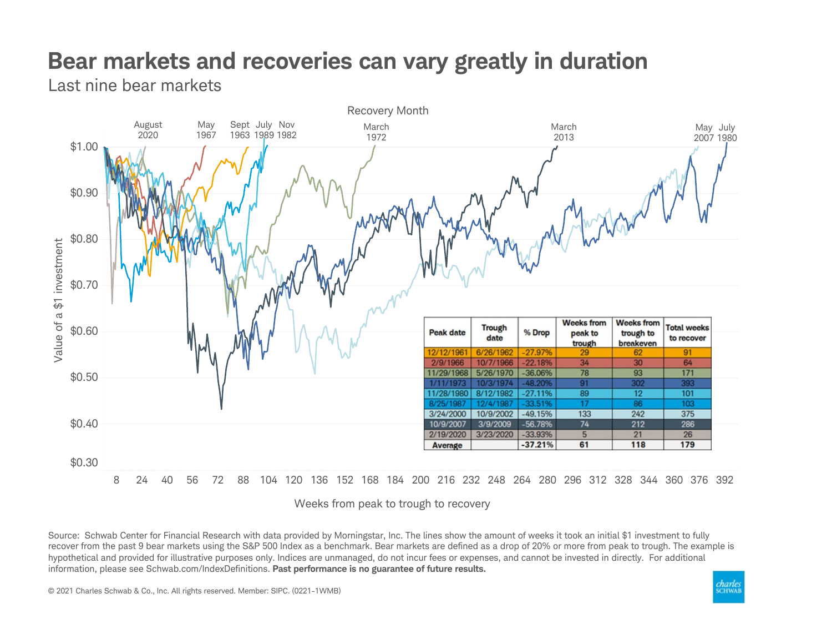## Bear markets and recoveries can vary greatly in duration

Last nine bear markets



Weeks from peak to trough to recovery

Source: Schwab Center for Financial Research with data provided by Morningstar, Inc. The lines show the amount of weeks it took an initial \$1 investment to fully recover from the past 9 bear markets using the S&P 500 Index as a benchmark. Bear markets are defined as a drop of 20% or more from peak to trough. The example is hypothetical and provided for illustrative purposes only. Indices are unmanaged, do not incur fees or expenses, and cannot be invested in directly. For additional information, please see Schwab.com/IndexDefinitions. Past performance is no guarantee of future results.